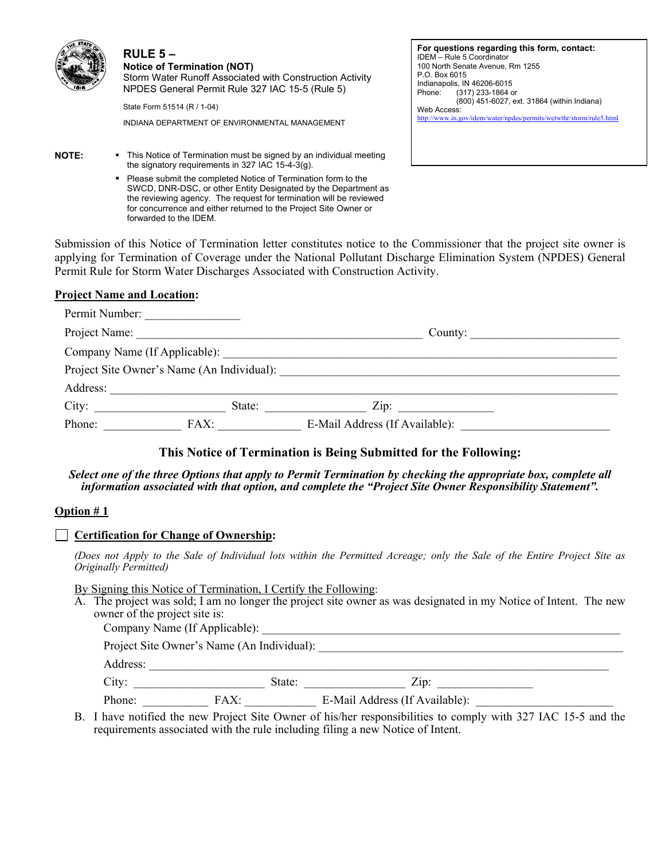

**RULE 5 – Notice of Termination (NOT)**  Storm Water Runoff Associated with Construction Activity NPDES General Permit Rule 327 IAC 15-5 (Rule 5)

State Form 51514 (R / 1-04) INDIANA DEPARTMENT OF ENVIRONMENTAL MANAGEMENT

**NOTE:** 

- This Notice of Termination must be signed by an individual meeting the signatory requirements in 327 IAC 15-4-3(g).
	- **Please submit the completed Notice of Termination form to the** SWCD, DNR-DSC, or other Entity Designated by the Department as the reviewing agency. The request for termination will be reviewed for concurrence and either returned to the Project Site Owner or forwarded to the IDEM.

Submission of this Notice of Termination letter constitutes notice to the Commissioner that the project site owner is applying for Termination of Coverage under the National Pollutant Discharge Elimination System (NPDES) General Permit Rule for Storm Water Discharges Associated with Construction Activity.

#### **Project Name and Location:**

| Permit Number:                             |                                |  |
|--------------------------------------------|--------------------------------|--|
|                                            | County: $\qquad \qquad$        |  |
|                                            |                                |  |
| Project Site Owner's Name (An Individual): |                                |  |
| Address:                                   |                                |  |
| City:<br>State:                            |                                |  |
| Phone:<br>FAX:                             | E-Mail Address (If Available): |  |

# **This Notice of Termination is Being Submitted for the Following:**

*Select one of the three Options that apply to Permit Termination by checking the appropriate box, complete all information associated with that option, and complete the "Project Site Owner Responsibility Statement".*

### **Option # 1**

### **Certification for Change of Ownership:**

*(Does not Apply to the Sale of Individual lots within the Permitted Acreage; only the Sale of the Entire Project Site as Originally Permitted)*

By Signing this Notice of Termination, I Certify the Following:

A. The project was sold; I am no longer the project site owner as was designated in my Notice of Intent. The new owner of the project site is:

Company Name (If Applicable):

Project Site Owner's Name (An Individual): \_\_\_\_\_\_\_\_\_\_\_\_\_\_\_\_\_\_\_\_\_\_\_\_\_\_\_\_\_\_\_\_\_\_\_\_\_\_\_\_\_\_\_\_\_\_\_\_\_\_\_

Address: \_\_\_\_\_\_\_\_\_\_\_\_\_\_\_\_\_\_\_\_\_\_\_\_\_\_\_\_\_\_\_\_\_\_\_\_\_\_\_\_\_\_\_\_\_\_\_\_\_\_\_\_\_\_\_\_\_\_\_\_\_\_\_\_\_\_\_\_\_\_\_\_\_\_\_\_\_

City: \_\_\_\_\_\_\_\_\_\_\_\_\_\_\_\_\_\_\_\_\_\_ State: \_\_\_\_\_\_\_\_\_\_\_\_\_\_\_\_\_ Zip: \_\_\_\_\_\_\_\_\_\_\_\_\_\_\_\_

Phone: \_\_\_\_\_\_\_\_\_\_\_ FAX: \_\_\_\_\_\_\_\_\_\_\_\_ E-Mail Address (If Available): \_\_\_\_\_\_\_\_\_\_\_\_\_\_\_\_\_\_\_\_\_\_\_

B. I have notified the new Project Site Owner of his/her responsibilities to comply with 327 IAC 15-5 and the requirements associated with the rule including filing a new Notice of Intent.

**For questions regarding this form, contact:**  IDEM – Rule 5 Coordinator 100 North Senate Avenue, Rm 1255 P.O. Box 6015 Indianapolis, IN 46206-6015 Phone: (317) 233-1864 or (800) 451-6027, ext. 31864 (within Indiana) Web Access: http://www.in.gov/idem/water/npdes/permits/wetwthr/storm/rule5.html